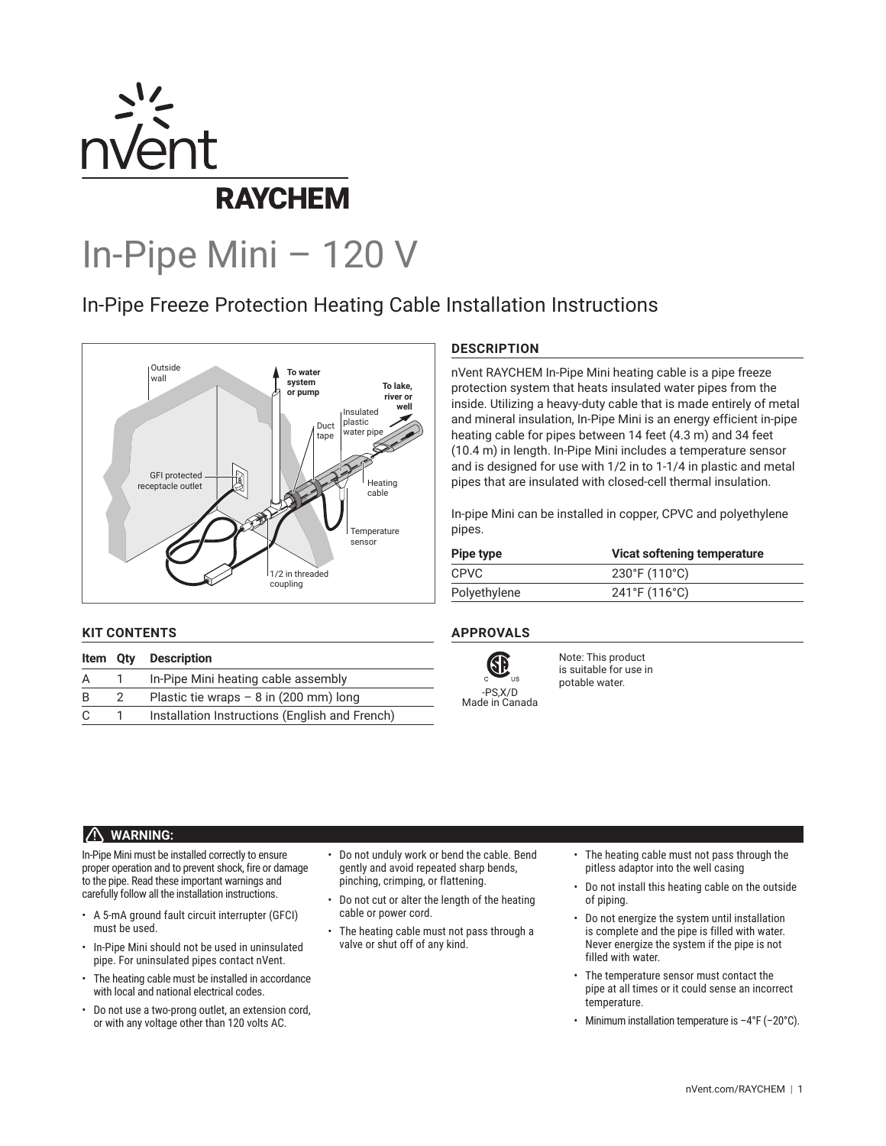

# In-Pipe Mini – 120 V

# In-Pipe Freeze Protection Heating Cable Installation Instructions



# **KIT CONTENTS**

|   |   | <b>Item Qty Description</b>                    |
|---|---|------------------------------------------------|
| A |   | In-Pipe Mini heating cable assembly            |
| B | 2 | Plastic tie wraps $- 8$ in (200 mm) long       |
| C |   | Installation Instructions (English and French) |

# **DESCRIPTION**

nVent RAYCHEM In-Pipe Mini heating cable is a pipe freeze protection system that heats insulated water pipes from the inside. Utilizing a heavy-duty cable that is made entirely of metal and mineral insulation, In-Pipe Mini is an energy efficient in-pipe heating cable for pipes between 14 feet (4.3 m) and 34 feet (10.4 m) in length. In-Pipe Mini includes a temperature sensor and is designed for use with 1/2 in to 1-1/4 in plastic and metal pipes that are insulated with closed-cell thermal insulation.

In-pipe Mini can be installed in copper, CPVC and polyethylene pipes.

| Pipe type    | Vicat softening temperature        |
|--------------|------------------------------------|
| <b>CPVC</b>  | $230^{\circ}$ F (110 $^{\circ}$ C) |
| Polyethylene | 241°F (116°C)                      |

# **APPROVALS**



Note: This product is suitable for use in potable water.

# **WARNING:**

In-Pipe Mini must be installed correctly to ensure proper operation and to prevent shock, fire or damage to the pipe. Read these important warnings and carefully follow all the installation instructions.

- A 5-mA ground fault circuit interrupter (GFCI) must be used.
- In-Pipe Mini should not be used in uninsulated pipe. For uninsulated pipes contact nVent.
- The heating cable must be installed in accordance with local and national electrical codes.
- Do not use a two-prong outlet, an extension cord, or with any voltage other than 120 volts AC.
- Do not unduly work or bend the cable. Bend gently and avoid repeated sharp bends, pinching, crimping, or flattening.
- Do not cut or alter the length of the heating cable or power cord.
- The heating cable must not pass through a valve or shut off of any kind.
- The heating cable must not pass through the pitless adaptor into the well casing
- Do not install this heating cable on the outside of piping.
- Do not energize the system until installation is complete and the pipe is filled with water. Never energize the system if the pipe is not filled with water.
- The temperature sensor must contact the pipe at all times or it could sense an incorrect temperature.
- Minimum installation temperature is  $-4^{\circ}F$  (-20 $^{\circ}C$ ).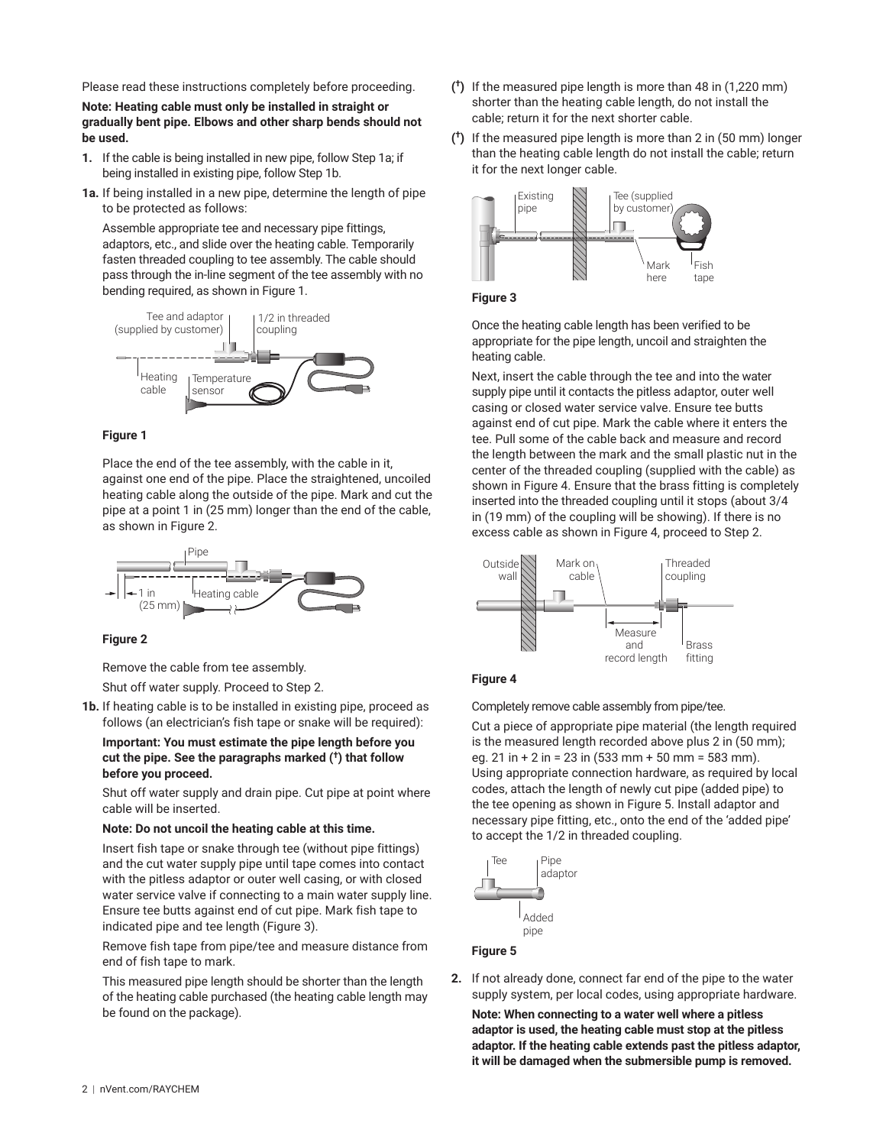Please read these instructions completely before proceeding.

**Note: Heating cable must only be installed in straight or gradually bent pipe. Elbows and other sharp bends should not be used.**

- **1.** If the cable is being installed in new pipe, follow Step 1a; if being installed in existing pipe, follow Step 1b.
- **1a.** If being installed in a new pipe, determine the length of pipe to be protected as follows:

Assemble appropriate tee and necessary pipe fittings, adaptors, etc., and slide over the heating cable. Temporarily fasten threaded coupling to tee assembly. The cable should pass through the in-line segment of the tee assembly with no bending required, as shown in Figure 1.



#### **Figure 1**

Place the end of the tee assembly, with the cable in it, against one end of the pipe. Place the straightened, uncoiled heating cable along the outside of the pipe. Mark and cut the pipe at a point 1 in (25 mm) longer than the end of the cable, as shown in Figure 2.



#### **Figure 2**

Remove the cable from tee assembly.

Shut off water supply. Proceed to Step 2.

**1b.** If heating cable is to be installed in existing pipe, proceed as follows (an electrician's fish tape or snake will be required):

**Important: You must estimate the pipe length before you cut the pipe. See the paragraphs marked (†) that follow before you proceed.**

Shut off water supply and drain pipe. Cut pipe at point where cable will be inserted.

#### **Note: Do not uncoil the heating cable at this time.**

Insert fish tape or snake through tee (without pipe fittings) and the cut water supply pipe until tape comes into contact with the pitless adaptor or outer well casing, or with closed water service valve if connecting to a main water supply line. Ensure tee butts against end of cut pipe. Mark fish tape to indicated pipe and tee length (Figure 3).

Remove fish tape from pipe/tee and measure distance from end of fish tape to mark.

This measured pipe length should be shorter than the length of the heating cable purchased (the heating cable length may be found on the package).

- **( †)** If the measured pipe length is more than 48 in (1,220 mm) shorter than the heating cable length, do not install the cable; return it for the next shorter cable.
- **( †)** If the measured pipe length is more than 2 in (50 mm) longer than the heating cable length do not install the cable; return it for the next longer cable.





Once the heating cable length has been verified to be appropriate for the pipe length, uncoil and straighten the heating cable.

Next, insert the cable through the tee and into the water supply pipe until it contacts the pitless adaptor, outer well casing or closed water service valve. Ensure tee butts against end of cut pipe. Mark the cable where it enters the tee. Pull some of the cable back and measure and record the length between the mark and the small plastic nut in the center of the threaded coupling (supplied with the cable) as shown in Figure 4. Ensure that the brass fitting is completely inserted into the threaded coupling until it stops (about 3/4 in (19 mm) of the coupling will be showing). If there is no excess cable as shown in Figure 4, proceed to Step 2.





Completely remove cable assembly from pipe/tee.

Cut a piece of appropriate pipe material (the length required is the measured length recorded above plus 2 in (50 mm); eg. 21 in + 2 in = 23 in (533 mm + 50 mm = 583 mm). Using appropriate connection hardware, as required by local codes, attach the length of newly cut pipe (added pipe) to the tee opening as shown in Figure 5. Install adaptor and necessary pipe fitting, etc., onto the end of the 'added pipe' to accept the 1/2 in threaded coupling.



#### **Figure 5**

**2.** If not already done, connect far end of the pipe to the water supply system, per local codes, using appropriate hardware.

**Note: When connecting to a water well where a pitless adaptor is used, the heating cable must stop at the pitless adaptor. If the heating cable extends past the pitless adaptor, it will be damaged when the submersible pump is removed.**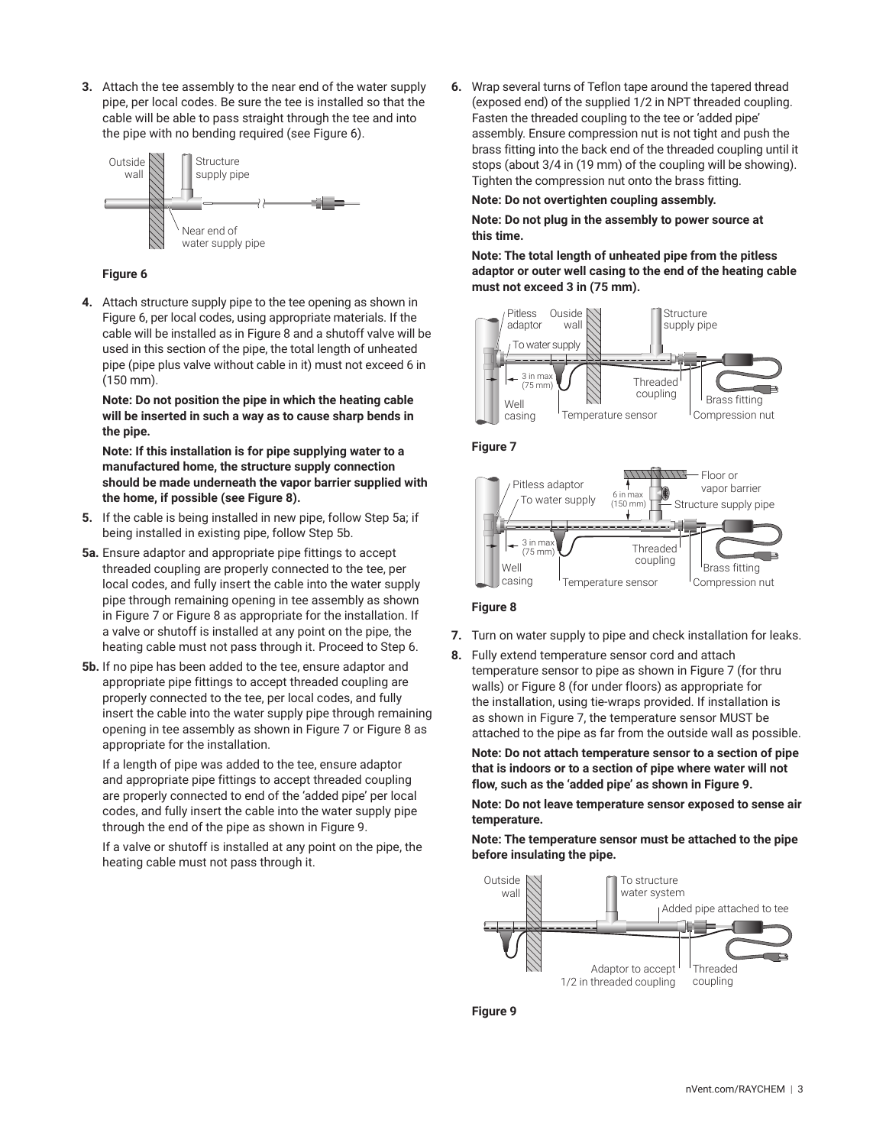**3.** Attach the tee assembly to the near end of the water supply pipe, per local codes. Be sure the tee is installed so that the cable will be able to pass straight through the tee and into the pipe with no bending required (see Figure 6).



#### **Figure 6**

**4.** Attach structure supply pipe to the tee opening as shown in Figure 6, per local codes, using appropriate materials. If the cable will be installed as in Figure 8 and a shutoff valve will be used in this section of the pipe, the total length of unheated pipe (pipe plus valve without cable in it) must not exceed 6 in (150 mm).

**Note: Do not position the pipe in which the heating cable will be inserted in such a way as to cause sharp bends in the pipe.**

**Note: If this installation is for pipe supplying water to a manufactured home, the structure supply connection should be made underneath the vapor barrier supplied with the home, if possible (see Figure 8).**

- **5.** If the cable is being installed in new pipe, follow Step 5a; if being installed in existing pipe, follow Step 5b.
- **5a.** Ensure adaptor and appropriate pipe fittings to accept threaded coupling are properly connected to the tee, per local codes, and fully insert the cable into the water supply pipe through remaining opening in tee assembly as shown in Figure 7 or Figure 8 as appropriate for the installation. If a valve or shutoff is installed at any point on the pipe, the heating cable must not pass through it. Proceed to Step 6.
- **5b.** If no pipe has been added to the tee, ensure adaptor and appropriate pipe fittings to accept threaded coupling are properly connected to the tee, per local codes, and fully insert the cable into the water supply pipe through remaining opening in tee assembly as shown in Figure 7 or Figure 8 as appropriate for the installation.

If a length of pipe was added to the tee, ensure adaptor and appropriate pipe fittings to accept threaded coupling are properly connected to end of the 'added pipe' per local codes, and fully insert the cable into the water supply pipe through the end of the pipe as shown in Figure 9.

If a valve or shutoff is installed at any point on the pipe, the heating cable must not pass through it.

**6.** Wrap several turns of Teflon tape around the tapered thread (exposed end) of the supplied 1/2 in NPT threaded coupling. Fasten the threaded coupling to the tee or 'added pipe' assembly. Ensure compression nut is not tight and push the brass fitting into the back end of the threaded coupling until it stops (about 3/4 in (19 mm) of the coupling will be showing). Tighten the compression nut onto the brass fitting.

#### **Note: Do not overtighten coupling assembly.**

**Note: Do not plug in the assembly to power source at this time.**

**Note: The total length of unheated pipe from the pitless adaptor or outer well casing to the end of the heating cable must not exceed 3 in (75 mm).**







#### **Figure 8**

- **7.** Turn on water supply to pipe and check installation for leaks.
- **8.** Fully extend temperature sensor cord and attach temperature sensor to pipe as shown in Figure 7 (for thru walls) or Figure 8 (for under floors) as appropriate for the installation, using tie-wraps provided. If installation is as shown in Figure 7, the temperature sensor MUST be attached to the pipe as far from the outside wall as possible.

**Note: Do not attach temperature sensor to a section of pipe that is indoors or to a section of pipe where water will not flow, such as the 'added pipe' as shown in Figure 9.**

**Note: Do not leave temperature sensor exposed to sense air temperature.**

**Note: The temperature sensor must be attached to the pipe before insulating the pipe.**